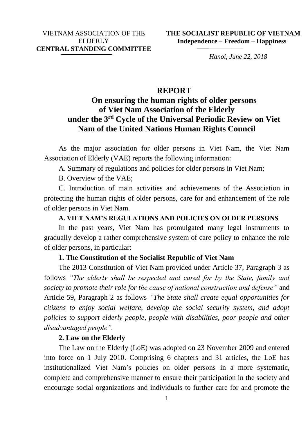*Hanoi, June 22, 2018*

# **REPORT**

# **On ensuring the human rights of older persons of Viet Nam Association of the Elderly under the 3rd Cycle of the Universal Periodic Review on Viet Nam of the United Nations Human Rights Council**

As the major association for older persons in Viet Nam, the Viet Nam Association of Elderly (VAE) reports the following information:

A. Summary of regulations and policies for older persons in Viet Nam;

B. Overview of the VAE;

C. Introduction of main activities and achievements of the Association in protecting the human rights of older persons, care for and enhancement of the role of older persons in Viet Nam.

# **A. VIET NAM'S REGULATIONS AND POLICIES ON OLDER PERSONS**

In the past years, Viet Nam has promulgated many legal instruments to gradually develop a rather comprehensive system of care policy to enhance the role of older persons, in particular:

# **1. The Constitution of the Socialist Republic of Viet Nam**

The 2013 Constitution of Viet Nam provided under Article 37, Paragraph 3 as follows *"The elderly shall be respected and cared for by the State, family and society to promote their role for the cause of national construction and defense"* and Article 59, Paragraph 2 as follows *"The State shall create equal opportunities for citizens to enjoy social welfare, develop the social security system, and adopt policies to support elderly people, people with disabilities, poor people and other disadvantaged people".*

# **2. Law on the Elderly**

The Law on the Elderly (LoE) was adopted on 23 November 2009 and entered into force on 1 July 2010. Comprising 6 chapters and 31 articles, the LoE has institutionalized Viet Nam's policies on older persons in a more systematic, complete and comprehensive manner to ensure their participation in the society and encourage social organizations and individuals to further care for and promote the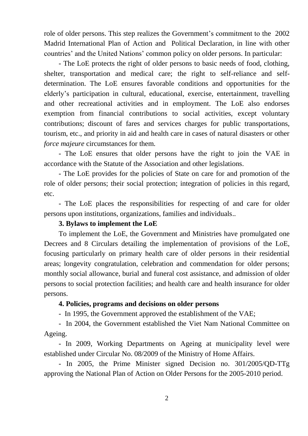role of older persons. This step realizes the Government's commitment to the 2002 Madrid International Plan of Action and Political Declaration, in line with other countries' and the United Nations' common policy on older persons. In particular:

- The LoE protects the right of older persons to basic needs of food, clothing, shelter, transportation and medical care; the right to self-reliance and selfdetermination. The LoE ensures favorable conditions and opportunities for the elderly's participation in cultural, educational, exercise, entertainment, travelling and other recreational activities and in employment. The LoE also endorses exemption from financial contributions to social activities, except voluntary contributions; discount of fares and services charges for public transportations, tourism, etc., and priority in aid and health care in cases of natural disasters or other *force majeure* circumstances for them.

- The LoE ensures that older persons have the right to join the VAE in accordance with the Statute of the Association and other legislations.

- The LoE provides for the policies of State on care for and promotion of the role of older persons; their social protection; integration of policies in this regard, etc.

- The LoE places the responsibilities for respecting of and care for older persons upon institutions, organizations, families and individuals..

# **3. Bylaws to implement the LoE**

To implement the LoE, the Government and Ministries have promulgated one Decrees and 8 Circulars detailing the implementation of provisions of the LoE, focusing particularly on primary health care of older persons in their residential areas; longevity congratulation, celebration and commendation for older persons; monthly social allowance, burial and funeral cost assistance, and admission of older persons to social protection facilities; and health care and health insurance for older persons.

# **4. Policies, programs and decisions on older persons**

- In 1995, the Government approved the establishment of the VAE;

- In 2004, the Government established the Viet Nam National Committee on Ageing.

- In 2009, Working Departments on Ageing at municipality level were established under Circular No. 08/2009 of the Ministry of Home Affairs.

- In 2005, the Prime Minister signed Decision no. 301/2005/QD-TTg approving the National Plan of Action on Older Persons for the 2005-2010 period.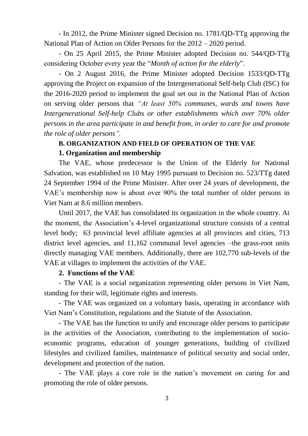- In 2012, the Prime Minister signed Decision no. 1781/QD-TTg approving the National Plan of Action on Older Persons for the 2012 – 2020 period.

- On 25 April 2015, the Prime Minister adopted Decision no. 544/QD-TTg considering October every year the "*Month of action for the elderly*".

- On 2 August 2016, the Prime Minister adopted Decision 1533/QD-TTg approving the Project on expansion of the Intergenerational Self-help Club (ISC) for the 2016-2020 period to implement the goal set out in the National Plan of Action on serving older persons that *"At least 50% communes, wards and towns have Intergenerational Self-help Clubs or other establishments which over 70% older persons in the area participate in and benefit from, in order to care for and promote the role of older persons".* 

# **B. ORGANIZATION AND FIELD OF OPERATION OF THE VAE**

### **1. Organization and membership**

The VAE, whose predecessor is the Union of the Elderly for National Salvation, was established on 10 May 1995 pursuant to Decision no. 523/TTg dated 24 September 1994 of the Prime Minister. After over 24 years of development, the VAE's membership now is about over 90% the total number of older persons in Viet Nam at 8.6 million members.

Until 2017, the VAE has consolidated its organization in the whole country. At the moment, the Association's 4-level organizational structure consists of a central level body; 63 provincial level affiliate agencies at all provinces and cities, 713 district level agencies, and 11,162 communal level agencies –the grass-root units directly managing VAE members. Additionally, there are 102,770 sub-levels of the VAE at villages to implement the activities of the VAE.

#### **2. Functions of the VAE**

- The VAE is a social organization representing older persons in Viet Nam, standing for their will, legitimate rights and interests.

- The VAE was organized on a voluntary basis, operating in accordance with Viet Nam's Constitution, regulations and the Statute of the Association.

- The VAE has the function to unify and encourage older persons to participate in the activities of the Association, contributing to the implementation of socioeconomic programs, education of younger generations, building of civilized lifestyles and civilized families, maintenance of political security and social order, development and protection of the nation.

- The VAE plays a core role in the nation's movement on caring for and promoting the role of older persons.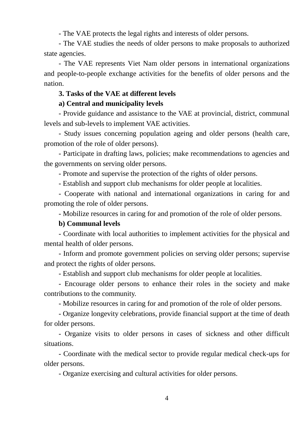- The VAE protects the legal rights and interests of older persons.

- The VAE studies the needs of older persons to make proposals to authorized state agencies.

- The VAE represents Viet Nam older persons in international organizations and people-to-people exchange activities for the benefits of older persons and the nation.

# **3. Tasks of the VAE at different levels**

# **a) Central and municipality levels**

- Provide guidance and assistance to the VAE at provincial, district, communal levels and sub-levels to implement VAE activities.

- Study issues concerning population ageing and older persons (health care, promotion of the role of older persons).

- Participate in drafting laws, policies; make recommendations to agencies and the governments on serving older persons.

- Promote and supervise the protection of the rights of older persons.

- Establish and support club mechanisms for older people at localities.

- Cooperate with national and international organizations in caring for and promoting the role of older persons.

- Mobilize resources in caring for and promotion of the role of older persons.

# **b) Communal levels**

- Coordinate with local authorities to implement activities for the physical and mental health of older persons.

- Inform and promote government policies on serving older persons; supervise and protect the rights of older persons.

- Establish and support club mechanisms for older people at localities.

- Encourage older persons to enhance their roles in the society and make contributions to the community.

- Mobilize resources in caring for and promotion of the role of older persons.

- Organize longevity celebrations, provide financial support at the time of death for older persons.

- Organize visits to older persons in cases of sickness and other difficult situations.

- Coordinate with the medical sector to provide regular medical check-ups for older persons.

- Organize exercising and cultural activities for older persons.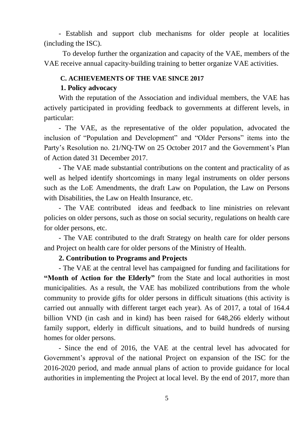- Establish and support club mechanisms for older people at localities (including the ISC).

To develop further the organization and capacity of the VAE, members of the VAE receive annual capacity-building training to better organize VAE activities.

#### **C. ACHIEVEMENTS OF THE VAE SINCE 2017**

### **1. Policy advocacy**

With the reputation of the Association and individual members, the VAE has actively participated in providing feedback to governments at different levels, in particular:

- The VAE, as the representative of the older population, advocated the inclusion of "Population and Development" and "Older Persons" items into the Party's Resolution no. 21/NQ-TW on 25 October 2017 and the Government's Plan of Action dated 31 December 2017.

- The VAE made substantial contributions on the content and practicality of as well as helped identify shortcomings in many legal instruments on older persons such as the LoE Amendments, the draft Law on Population, the Law on Persons with Disabilities, the Law on Health Insurance, etc.

- The VAE contributed ideas and feedback to line ministries on relevant policies on older persons, such as those on social security, regulations on health care for older persons, etc.

- The VAE contributed to the draft Strategy on health care for older persons and Project on health care for older persons of the Ministry of Health.

### **2. Contribution to Programs and Projects**

- The VAE at the central level has campaigned for funding and facilitations for **"Month of Action for the Elderly"** from the State and local authorities in most municipalities. As a result, the VAE has mobilized contributions from the whole community to provide gifts for older persons in difficult situations (this activity is carried out annually with different target each year). As of 2017, a total of 164.4 billion VND (in cash and in kind) has been raised for 648,266 elderly without family support, elderly in difficult situations, and to build hundreds of nursing homes for older persons.

- Since the end of 2016, the VAE at the central level has advocated for Government's approval of the national Project on expansion of the ISC for the 2016-2020 period, and made annual plans of action to provide guidance for local authorities in implementing the Project at local level. By the end of 2017, more than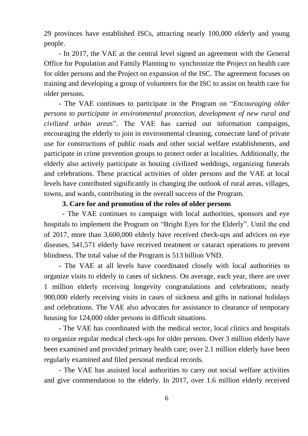29 provinces have established ISCs, attracting nearly 100,000 elderly and young people.

- In 2017, the VAE at the central level signed an agreement with the General Office for Population and Family Planning to synchronize the Project on health care for older persons and the Project on expansion of the ISC. The agreement focuses on training and developing a group of volunteers for the ISC to assist on health care for older persons.

- The VAE continues to participate in the Program on "*Encouraging older persons to participate in environmental protection, development of new rural and civilized urban areas*". The VAE has carried out information campaigns, encouraging the elderly to join in environmental cleaning, consecrate land of private use for constructions of public roads and other social welfare establishments, and participate in crime prevention groups to protect order at localities. Additionally, the elderly also actively participate in hosting civilized weddings, organizing funerals and celebrations. These practical activities of older persons and the VAE at local levels have contributed significantly in changing the outlook of rural areas, villages, towns, and wards, contributing in the overall success of the Program.

### **3. Care for and promotion of the roles of older persons**

 - The VAE continues to campaign with local authorities, sponsors and eye hospitals to implement the Program on "Bright Eyes for the Elderly". Until the end of 2017, more than 3,600,000 elderly have received check-ups and advices on eye diseases, 541,571 elderly have received treatment or cataract operations to prevent blindness. The total value of the Program is 513 billion VND.

- The VAE at all levels have coordinated closely with local authorities to organize visits to elderly in cases of sickness. On average, each year, there are over 1 million elderly receiving longevity congratulations and celebrations; nearly 900,000 elderly receiving visits in cases of sickness and gifts in national holidays and celebrations. The VAE also advocates for assistance to clearance of temporary housing for 124,000 older persons in difficult situations.

- The VAE has coordinated with the medical sector, local clinics and hospitals to organize regular medical check-ups for older persons. Over 3 million elderly have been examined and provided primary health care; over 2.1 million elderly have been regularly examined and filed personal medical records.

- The VAE has assisted local authorities to carry out social welfare activities and give commendation to the elderly. In 2017, over 1.6 million elderly received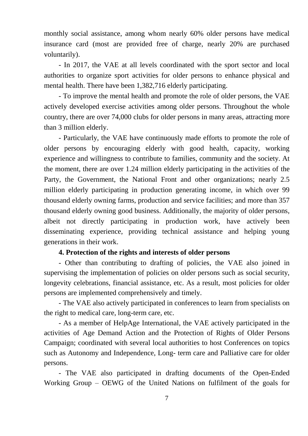monthly social assistance, among whom nearly 60% older persons have medical insurance card (most are provided free of charge, nearly 20% are purchased voluntarily).

- In 2017, the VAE at all levels coordinated with the sport sector and local authorities to organize sport activities for older persons to enhance physical and mental health. There have been 1,382,716 elderly participating.

- To improve the mental health and promote the role of older persons, the VAE actively developed exercise activities among older persons. Throughout the whole country, there are over 74,000 clubs for older persons in many areas, attracting more than 3 million elderly.

- Particularly, the VAE have continuously made efforts to promote the role of older persons by encouraging elderly with good health, capacity, working experience and willingness to contribute to families, community and the society. At the moment, there are over 1.24 million elderly participating in the activities of the Party, the Government, the National Front and other organizations; nearly 2.5 million elderly participating in production generating income, in which over 99 thousand elderly owning farms, production and service facilities; and more than 357 thousand elderly owning good business. Additionally, the majority of older persons, albeit not directly participating in production work, have actively been disseminating experience, providing technical assistance and helping young generations in their work.

# **4. Protection of the rights and interests of older persons**

- Other than contributing to drafting of policies, the VAE also joined in supervising the implementation of policies on older persons such as social security, longevity celebrations, financial assistance, etc. As a result, most policies for older persons are implemented comprehensively and timely.

- The VAE also actively participated in conferences to learn from specialists on the right to medical care, long-term care, etc.

- As a member of HelpAge International, the VAE actively participated in the activities of Age Demand Action and the Protection of Rights of Older Persons Campaign; coordinated with several local authorities to host Conferences on topics such as Autonomy and Independence, Long- term care and Palliative care for older persons.

- The VAE also participated in drafting documents of the Open-Ended Working Group – OEWG of the United Nations on fulfilment of the goals for